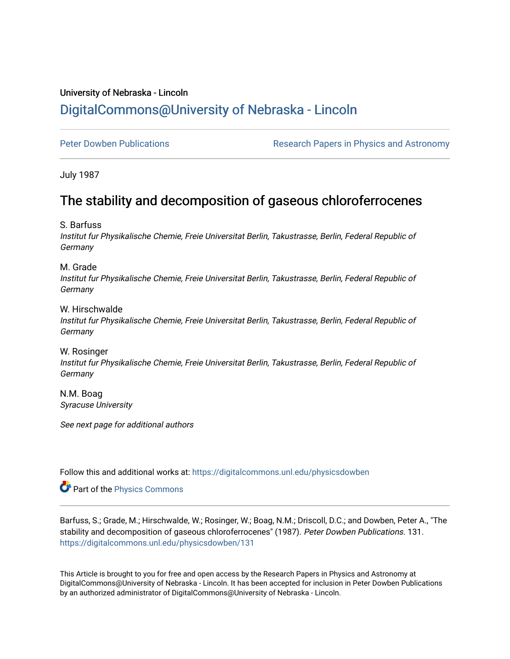## University of Nebraska - Lincoln [DigitalCommons@University of Nebraska - Lincoln](https://digitalcommons.unl.edu/)

[Peter Dowben Publications](https://digitalcommons.unl.edu/physicsdowben) **Research Papers in Physics and Astronomy** 

July 1987

# The stability and decomposition of gaseous chloroferrocenes

S. Barfuss

Institut fur Physikalische Chemie, Freie Universitat Berlin, Takustrasse, Berlin, Federal Republic of **Germany** 

M. Grade Institut fur Physikalische Chemie, Freie Universitat Berlin, Takustrasse, Berlin, Federal Republic of Germany

W. Hirschwalde Institut fur Physikalische Chemie, Freie Universitat Berlin, Takustrasse, Berlin, Federal Republic of Germany

W. Rosinger Institut fur Physikalische Chemie, Freie Universitat Berlin, Takustrasse, Berlin, Federal Republic of Germany

N.M. Boag Syracuse University

See next page for additional authors

Follow this and additional works at: [https://digitalcommons.unl.edu/physicsdowben](https://digitalcommons.unl.edu/physicsdowben?utm_source=digitalcommons.unl.edu%2Fphysicsdowben%2F131&utm_medium=PDF&utm_campaign=PDFCoverPages) 

Part of the [Physics Commons](http://network.bepress.com/hgg/discipline/193?utm_source=digitalcommons.unl.edu%2Fphysicsdowben%2F131&utm_medium=PDF&utm_campaign=PDFCoverPages)

Barfuss, S.; Grade, M.; Hirschwalde, W.; Rosinger, W.; Boag, N.M.; Driscoll, D.C.; and Dowben, Peter A., "The stability and decomposition of gaseous chloroferrocenes" (1987). Peter Dowben Publications. 131. [https://digitalcommons.unl.edu/physicsdowben/131](https://digitalcommons.unl.edu/physicsdowben/131?utm_source=digitalcommons.unl.edu%2Fphysicsdowben%2F131&utm_medium=PDF&utm_campaign=PDFCoverPages) 

This Article is brought to you for free and open access by the Research Papers in Physics and Astronomy at DigitalCommons@University of Nebraska - Lincoln. It has been accepted for inclusion in Peter Dowben Publications by an authorized administrator of DigitalCommons@University of Nebraska - Lincoln.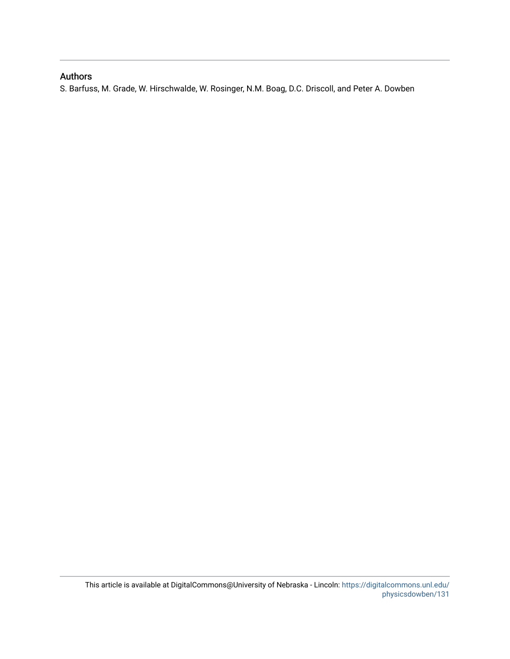### Authors

S. Barfuss, M. Grade, W. Hirschwalde, W. Rosinger, N.M. Boag, D.C. Driscoll, and Peter A. Dowben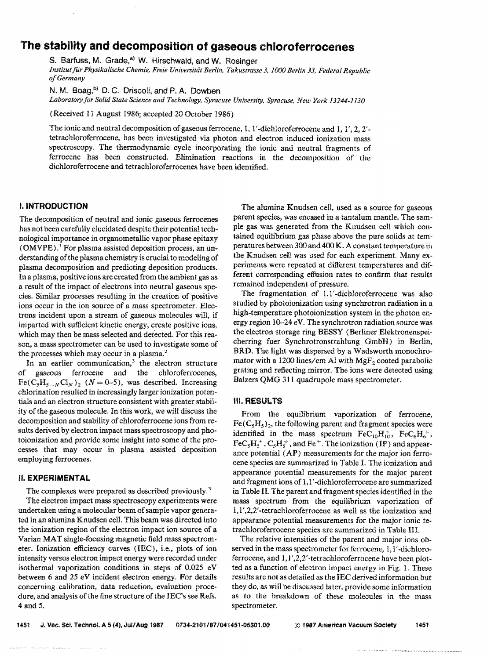## **f he stability and decomposition of gaseous chloroferrocenes**

*S.* **Barfuss, M.** Grade,"' W. **i-lirsckwaid, and** W. Rosinger *Hnstitut für Physikalische Chemie, Freie Universität Berlin, Takustrasse 3, 1000 Berlin 33, Federal Republic of~erm8ny* 

N. M. Boag,<sup>b)</sup> D. C. Driscoll, and P. A. Dowben-Laboratory for Solid State Science and Technology, Syracuse University, Syracuse, New York 13244-1130

(Received 11 August 1986; accepted 20 October 1986)

The ionic and neutral decomposition of gaseous ferrocene, 1, 1'-dichioroferrocene and 1, 1', 2, 2'tetrachloroferrocene, has been investigated via photon and electron induced ionization mass spectroscopy. The thermodynamic cycle incorporating the ionic and neutral fragments of ferrocene has been constructed. Elimination reactions in the decomposition of the dichloroferrocene and tetrachloroferrocenes have been identified.

#### **I. INTRODUCTION**

The decomposition of neutral and ionic gaseous ferrocenes has not been carefully elucidated despite their potential techndogical importance in organometallic vapor phase epitaxy (OMVPE).<sup>1</sup> For plasma assisted deposition process, an understanding of the plasma chemistry is crucial to modeling of plasma decomposition and predicting deposition products. In a plasma, positive ions are created from the ambient gas as a result of the impact of electrons into neutral gaseous species. Similar processes resulting in the creation of positive ions occur in the ion source of a mass spectrometer, Electrons incident upon a stream of gaseous molecules will, if imparted with sufficient kinetic energy, create positive ions, which may then be mass selected and detected. For this reason, a mass spectrometer can be used to investigate some of the processes which may occur in a plasma.'

In an earlier communication, $^3$  the electron structure gaseous ferrocene and the chloroferrocenes, of gaseous ferrocene and the chloroferrocenes,  $\text{Fe}(C_5H_{5-N}Cl_N)_2$  ( $N = 0-5$ ), was described. Increasing chlorinatian resulted in increasingly larger ionization potentials and an electron structure consistent with greater stability of the gaseous molecule. In this work, we will discuss the decomposition and stability of chloroferrocene ions from results derived by electron impact mass spectroscopy and photoionization and provide some insight into some of the processes that may occur in plasma assisted deposition employing ferrocenes.

#### **BI. EXPERIMENTAL**

The complexes were prepared as described previously. $3$ 

The electron impact mass spectroscopy experiments were undertaken using a molecular beam of sample vapor generated in an alumina Knudsen cell. This beam was directed into the ionization region of the electron impact ion source of a Varian MAT single-focusing magnetic field mass spectrometer. Ionization efficiency curves (IEC), i.e., plots of ion intensity versus electron impact energy were recorded under isothemd vaporization conditions in steps of 0.025 eV between *6* and 25 eV incident electron energy. For details concerning calibration, data reduction, evaluation procedure, and analysis of the fine structure of the IEC's see Refs. 4 and 5.

The alumina Knudsen cell, used as a source for gaseous parent species, was encased in a tantalum mantle. The sample gas **was** generated from the Knudsen cell which contained equilibrium gas phase above the pure solids at temperatures between 300 and 400 **K. A** constant temperature in the Knudsen cell was used for each experiment, Many experiments were repeated at different temperatures and different corresponding effusion rates to confirm that results remained independent of pressure.

The fragmentation of  $1,1'$ -dichloroferrocene was also studied by photoionization **using** synchrotron radiation in a high-temperature photoionization system in the photon energy region 10-24 eV. The synchrotron radiation source was the electron storage ring BESSY (Berliner Elektronenspeicherring fuer Synchrotronstrahlung GmbH) in Berlin, BRD. The light was dispersed by a Wadsworth monochromator with a 1200 lines/cm Al with MgF<sub>2</sub> coated parabolic grating and reflecting mirror. The ions were detected using Balzers QMG 311 quadrupole mass spectrometer.

#### **III. RESULTS**

From the equilibrium vaporization of ferrocene,  $Fe(C_5H_5)_2$ , the following parent and fragment species were identified in the mass spectrum  $\text{FeC}_{10}H_{10}^+$ ,  $\text{FeC}_6H_6^+$ ,  $FeC<sub>5</sub>H<sub>5</sub><sup>+</sup>, C<sub>5</sub>H<sub>5</sub><sup>+</sup>, and Fe<sup>+</sup>. The ionization (IP) and appear$ ance potential **CAP)** measurements for the major ion ferrocene species are summarized in Table I. The ionization and appearance potential measurements for the major parent and fragment ions of 1,1'-dichloroferrocene are summarized in Table **11.** The parent and fragment species identified in the mass spectrum from the equilibrium vaporization of **191',2,2'-tetrachlor0ferro~ene** as well as the ionization and appearance potential measurements for the major ionic tetrachloroferrocene species are summarized in Table III.

The relative intensities of the parent and major ions observed in the mass spectrometer for ferrocene, 1,1'-dichloroferrocene, and 1, I',2,2'-tetrachloroferrocene have been plotted as a function of electron impact energy in Fig. I. These results are not as detailed as the IEC derived information but they do, as will be discussed later, provide some information as to the breakdown of these molecules in the mass spectrometer.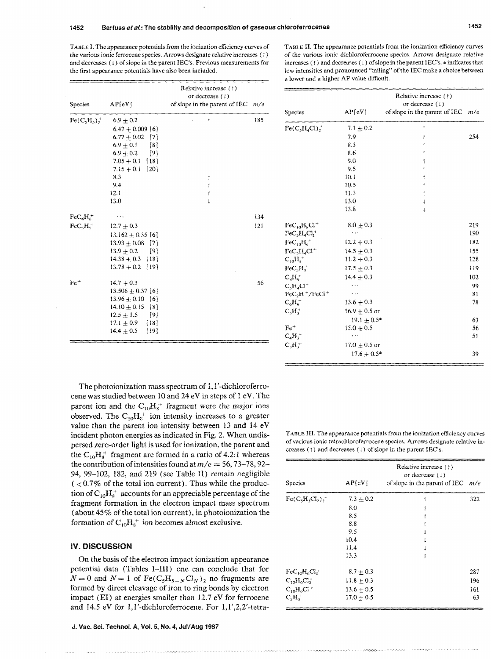**TABLE** I. The appearance potentials from the ionization efficiency curves of the various ionic ferrocene species. Arrows designate relative increases ( t ) and decreases  $(1)$  of slope in the parent IEC's. Previous measurements for the first appearance potentials have also been included.

TABLE II. The appearance potentials from the ionization efficiency curves of the various ionic dichloroferrocene species. Arrows designate relative increases  $( )$  and decreases  $( )$  of slope in the parent IEC's.  $*$  indicates that low intensities and pronounced "tailing" of the **IEC** make a choice between a lower and a higher AP value dificult.

|                                           |                          |                                                                                   |     | a lower and a higher AP value difficult.       |                   |                                                                                     |     |
|-------------------------------------------|--------------------------|-----------------------------------------------------------------------------------|-----|------------------------------------------------|-------------------|-------------------------------------------------------------------------------------|-----|
| <b>Species</b>                            | AP[ <sub>e</sub> V]      | Relative increase (1)<br>or decrease $(1)$<br>of slope in the parent of IEC $m/e$ |     | <b>Species</b>                                 | $AP$ [eV]         | Relative increase $(1)$<br>or decrease $(1)$<br>of slope in the parent of IEC $m/e$ |     |
| $\text{Fe}(\text{C}_5\text{H}_5)\text{H}$ | $6.9 + 0.2$              |                                                                                   | 185 |                                                |                   |                                                                                     |     |
|                                           | $6.47 \pm 0.009$ [6]     |                                                                                   |     | $\text{Fe}(\text{C}_5\text{H}_4\text{Cl})_2^+$ | $7.1 \pm 0.2$     |                                                                                     |     |
|                                           | $6.77 + 0.02$ [7]        |                                                                                   |     |                                                | 7.9               |                                                                                     | 254 |
|                                           | $6.9 \pm 0.1$<br>[8]     |                                                                                   |     |                                                | 8.3               |                                                                                     |     |
|                                           | $6.9 + 0.2$<br>[9]       |                                                                                   |     |                                                | 8.6               |                                                                                     |     |
|                                           | $7.05 + 0.1$ [18]        |                                                                                   |     |                                                | 9.0               |                                                                                     |     |
|                                           | 7.15 $\pm$ 0.1 [20]      |                                                                                   |     |                                                | 9.5               |                                                                                     |     |
|                                           | 8.3                      |                                                                                   |     |                                                | 10.1              |                                                                                     |     |
|                                           | 9.4                      |                                                                                   |     |                                                | 10.5              |                                                                                     |     |
|                                           | 12.1                     |                                                                                   |     |                                                | 11.3              |                                                                                     |     |
|                                           | 13.0                     |                                                                                   |     |                                                | 13.0              |                                                                                     |     |
|                                           |                          |                                                                                   |     |                                                | 13.8              |                                                                                     |     |
| $\text{FeC}_6\text{H}_6^+$                | $\cdots$                 |                                                                                   | 134 |                                                |                   |                                                                                     |     |
| $\text{FeC}_5\text{H}_5^+$                | $12.7 \pm 0.3$           |                                                                                   | 121 | $\text{FeC}_{10}\text{H}_8\text{Cl}^+$         | $8.0 \pm 0.3$     |                                                                                     | 219 |
|                                           | 13.162 $+$ 0.35 [6]      |                                                                                   |     | $FeC3H4Cl7$ <sup>+</sup>                       | $\cdots$          |                                                                                     | 190 |
|                                           | $13.93 + 0.08$ [7]       |                                                                                   |     | $\text{FeC}_{10}\text{H}_6^+$                  | $12.2 \pm 0.3$    |                                                                                     | 182 |
|                                           | $13.9 + 0.2$<br>[9]      |                                                                                   |     | $FeC_5H_4Cl^+$                                 | $14.5 + 0.3$      |                                                                                     | 155 |
|                                           | $14.38 + 0.3$ [18]       |                                                                                   |     | $C_{10}H_8^+$                                  | $11.2 \pm 0.3$    |                                                                                     | 128 |
|                                           | $13.78 \pm 0.2$ [19]     |                                                                                   |     | $\text{FeC}_5\text{H}_3^+$                     | $17.5 + 0.3$      |                                                                                     | 119 |
|                                           |                          |                                                                                   |     | $C_8H_6^+$                                     | $14.4 \pm 0.3$    |                                                                                     | 102 |
| $Fe+$                                     | $14.7 + 0.3$             |                                                                                   | 56  | $C_sH_aCl^+$                                   | $\ddotsc$         |                                                                                     | 99  |
|                                           | $13.506 + 0.37$ [6]      |                                                                                   |     | $FeC2H+/FeCl+$                                 | $\sim$ .          |                                                                                     | 81  |
|                                           | $13.96 + 0.10$ [6]       |                                                                                   |     | $C_6H_6^+$                                     | $13.6 + 0.3$      |                                                                                     | 78  |
|                                           | $14.10 \pm 0.15$ [8]     |                                                                                   |     | $C_5H_3^+$                                     | $16.9 + 0.5$ or   |                                                                                     |     |
|                                           | $12.5 \pm 1.5$<br>[9]    |                                                                                   |     |                                                | $19.1 + 0.5*$     |                                                                                     | 63  |
|                                           | $17.1 + 0.9$<br>$[18]$   |                                                                                   |     | $Fe+$                                          | $15.0 \pm 0.5$    |                                                                                     | 56  |
|                                           | $14.4 \pm 0.5$<br>$[19]$ |                                                                                   |     | $C_4H_3^+$                                     | $\ldots$          |                                                                                     | 51  |
|                                           |                          |                                                                                   |     | $\mathrm{C_3H_3^+}$                            | 17.0 $\pm$ 0.5 or |                                                                                     |     |
|                                           |                          |                                                                                   |     |                                                |                   |                                                                                     |     |
|                                           |                          |                                                                                   |     |                                                | $17.6 + 0.5*$     |                                                                                     | 39  |

The photoionization mass spectrum of 1,1'-dichloroferrocene was studied between 10 and 24 eV in steps of 1 eV. The parent ion and the  $C_{10}H_8^+$  fragment were the major ions observed. The  $C_{10}H_8^+$  ion intensity increases to a greater value than the parent ion intensity between 13 and 14 eV incident photon energies as indicated in Fig. 2. When undis-<br>
normal strachloroferrocene species. Arrows designate relative in-<br>
normal strachloroferrocene species. Arrows designate relative inpersed zero-order light is used for ionization, the parent and the  $C_{10}H_8^+$  fragment are formed in a ratio of 4.2:1 whereas the contribution of intensities found at  $m/e = 56, 73-78, 92-$ 34, 99-102, 182, and 219 (see Table II) remain negligible  $( $0.7\%$  of the total ion current). Thus while the product$ tion of  $C_{10}H_{8}^{+}$  accounts for an appreciable percentage of the fragment formation in the electron impact mass spectrum (about 45% of the total ion current), in photoionization the formation of  $C_{10}H_8^+$  ion becomes almost exclusive.

#### **IV. DISCUSSION**

On the basis of the electron impact ionization appearance potential data (Tables I-III) one can conclude that for  $N=0$  and  $N=1$  of Fe(C<sub>5</sub>H<sub>5-N</sub>Cl<sub>N</sub>)<sub>2</sub> no fragments are formed by direct cleavage of iron to ring bonds by electron impact (EI) at energies smaller than 12.7 eV for ferrocene and 14.5 eV for  $1,1'$ -dichloroferrocene. For  $1,1',2,2'$ -tetracreases ( ( ) and decreases ( 1 ) of slope in the parent **IEC's.** 

| <b>Species</b>                                 | $AP$ [eV]     | Relative increase (1)<br>or decrease $(1)$<br>of slope in the parent of IEC $m/e$ |     |
|------------------------------------------------|---------------|-----------------------------------------------------------------------------------|-----|
| $Fe(C,H,CI_2)$ ,                               | $7.3 \pm 0.2$ |                                                                                   | 322 |
|                                                | 8.0           |                                                                                   |     |
|                                                | 8.5           |                                                                                   |     |
|                                                | 8.8           |                                                                                   |     |
|                                                | 9.5           |                                                                                   |     |
|                                                | 10.4          |                                                                                   |     |
|                                                | 11.4          |                                                                                   |     |
|                                                | 13.3          |                                                                                   |     |
| $\text{FeC}_{10}\text{H}_{6}\text{Cl}_{3}^{+}$ | $8.7 + 0.3$   |                                                                                   | 287 |
| $C_{10}H_6Cl_2^+$                              | $11.8 + 0.3$  |                                                                                   | 196 |
| $C_{10}H_6Cl^+$                                | $13.6 + 0.5$  |                                                                                   | 161 |
| $C_5H_3^+$                                     | $17.0 + 0.5$  |                                                                                   | 63  |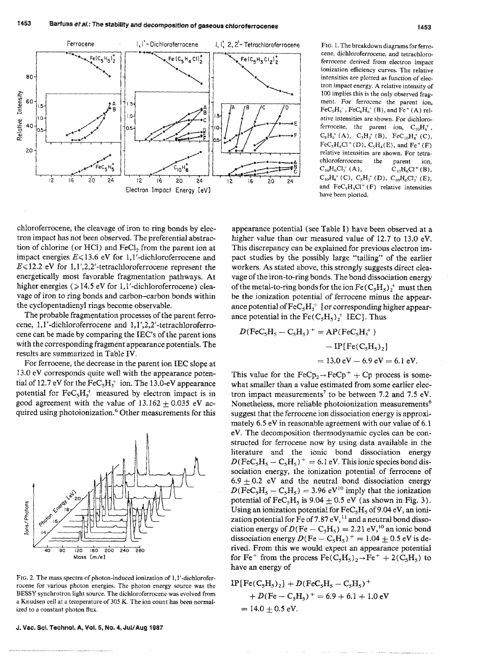

FIG. 1. The breakdown diagrams for ferrocene, dichloroferrocene, and tetrachloroferrocene derived from electron impact ionization efficiency curves. The relative intensities are plotted as function of electron impact energy. A relative intensity of 100 implies this is the only observed fragment. For ferrocene the parent ion,  $FeC_5H_5$ <sup>+</sup>,  $FeC_6H_6$ <sup>+</sup> (B), and  $Fe$ <sup>+</sup> (A) relative intensities are shown. For dichloroferrocene, the parent ion,  $C_{10}H_{8}^{+}$ ,  $C_8H_6^+ (A), C_3H_3^+ (B), F e C_{10}H_8^+ (C),$  $\text{FeC}_5H_4Cl^+(D)$ ,  $\text{C}_5H_4(E)$ , and  $\text{Fe}^+(F)$ relative intensities are shown. For tetrachloroferrocene the parent ion.  $C_{10}H_6Cl_2^+(A),$  $C_{10}H_6Cl^+(B)$ ,  $C_{10}H_6^+(C)$ ,  $C_5H_3^+(D)$ ,  $C_{10}H_6Cl_3^+(E)$ , and  $\text{FeC}_5H_3Cl^+(F)$  relative intensities have been plotted.

chloroferrocene, the cleavage of iron to ring bonds by electron impact has not been observed. The preferential abstraction of chlorine (or HCl) and FeCl, from the parent ion at impact energies  $E \le 13.6$  eV for 1.1'-dichloroferrocene and  $E \le 12.2$  eV for 1,1',2,2'-tetrachloroferrocene represent the energetically most favorable fragmentation pathways. At higher energies ( $>14.5$  eV for 1,1'-dichloroferrocene) cleavage of iron to ring bonds and carbon-carbon bonds within the cyclopentadienyl rings become observable.

The probable fragmentation processes of the parent ferrocene, 1,1'-dichloroferrocene and 1,1',2,2'-tetrachloroferrocene can be made by comparing the IEC's of the parent ions with the corresponding fragment appearance potentials. The results are summarized in Table IV.

For ferrocene, the decrease in the parent ion IEC slope at 13.0 eV corresponds quite well with the appearance potential of 12.7 eV for the  $FeC_5H_5^+$  ion. The 13.0-eV appearance potential for  $\text{FeC}_5\text{H}_5^+$  measured by electron impact is in good agreement with the value of  $13.162 \pm 0.035$  eV acquired using photoionization.<sup>6</sup> Other measurements for this



FIG. 2. The mass spectra of photon-induced ionization of 1,1'-dichloroferrocene for various photon energies. The photon energy source was the BESSY synchrotron light source. The dichloroferrocene was evolved from a Knudsen cell at a temperature of 305 K. The ion count has been normalized to a constant photon flux.

J. Vac. Sci. Technol. A, Vol. 5, No. 4, Jul/Aug 1987

appearance potential (see Table I) have been observed at a higher value than our measured value of 12.7 to 13.0 eV. This discrepancy can be explained for previous electron impact studies by the possibly large "tailing" of the earlier workers. As stated above, this strongly suggests direct cleavage of the iron-to-ring bonds. The bond dissociation energy of the metal-to-ring bonds for the ion  $\text{Fe}(C_5H_5)_2^+$  must then be the ionization potential of ferrocene minus the appearance potential of  $\text{FeC}_5\text{H}_5^+$  [or corresponding higher appearance potential in the  $\text{Fe}(C_5H_5)_2^+$  IEC]. Thus

$$
D(FeC_5H_5 - C_5H_5)^{+} = AP(FeC_5H_5^{+})
$$
  
- IP[Fe(C<sub>5</sub>H<sub>5</sub>)<sub>2</sub>]  
= 13.0 eV - 6.9 eV = 6.1 eV.

This value for the  $\text{FeCp}_2 \rightarrow \text{FeCp}^+ + \text{Cp}$  process is somewhat smaller than a value estimated from some earlier electron impact measurements<sup>7</sup> to be between 7.2 and 7.5 eV. Nonetheless, more reliable photoionization measurements<sup>6</sup> suggest that the ferrocene ion dissociation energy is approximately 6.5 eV in reasonable agreement with our value of 6.1 eV. The decomposition thermodynamic cycles can be constructed for ferrocene now by using data available in the literature and the ionic bond dissociation energy  $D(FeC_5H_5-C_5H_5)^+ = 6.1$  eV. This ionic species bond dissociation energy, the ionization potential of ferrocene of  $6.9 \pm 0.2$  eV and the neutral bond dissociation energy  $D(FeC_5H_5-C_5H_5) = 3.96 \text{ eV}^{10}$  imply that the ionization potential of  $\text{FeC}_5H_5$  is 9.04  $\pm$  0.5 eV (as shown in Fig. 3). Using an ionization potential for  $FeC<sub>5</sub>H<sub>5</sub>$  of 9.04 eV, an ionization potential for Fe of 7.87  $eV<sub>s</sub><sup>11</sup>$  and a neutral bond dissociation energy of  $D(Fe - C_5H_5) = 2.21$  eV,<sup>10</sup> an ionic bond dissociation energy  $D(Fe - C_5H_5)^{+} = 1.04 \pm 0.5$  eV is derived. From this we would expect an appearance potential for Fe<sup>+</sup> from the process  $\text{Fe}(C_5H_5)_2 \rightarrow \text{Fe}^+ + 2(C_5H_5)$  to have an energy of

$$
IP[Fe(C_5H_5)_2] + D(FeC_5H_5 - C_5H_5)^+ + D(Fe - C_5H_5)^+ = 6.9 + 6.1 + 1.0 \text{ eV} = 14.0 \pm 0.5 \text{ eV}.
$$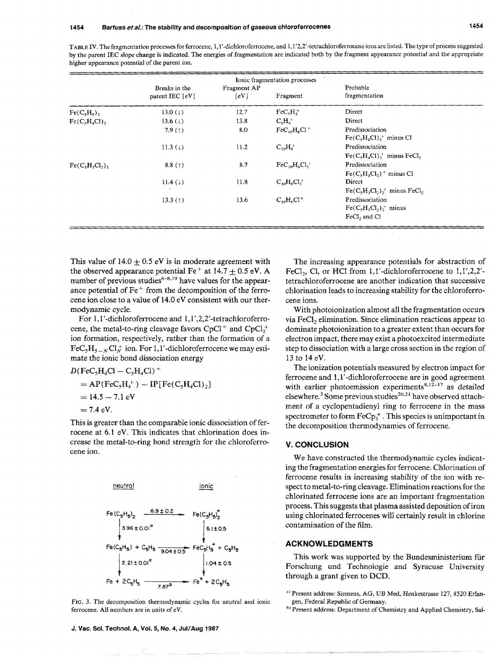|                |                                    |                                   | Ionic fragmentation processes            |                                                                      |  |
|----------------|------------------------------------|-----------------------------------|------------------------------------------|----------------------------------------------------------------------|--|
|                | Breaks in the<br>parent IEC $[eV]$ | Fragment AP<br>$\lceil eV \rceil$ | Fragment                                 | Probable<br>fragmentation                                            |  |
| $Fe(C_5H_5)_2$ | 13.0 $(1)$                         | 12.7                              | $FeCsHs$ <sup>+</sup>                    | Direct                                                               |  |
| $Fe(C5H4Cl)$ , | 13.6 $(1)$                         | 13.8                              | $C_6H_6^+$                               | Direct                                                               |  |
|                | 7.9(1)                             | 8.0                               | $FeC_{10}H_8Cl^+$                        | Predissociation<br>$Fe(C5H4Cl)+ minus Cl$                            |  |
|                | 11.3(1)                            | 11.2                              | $C_{10}H_8^+$                            | Predissociation<br>$\text{Fe}(C_5H_4Cl)$ , minus FeCl <sub>2</sub>   |  |
| $Fe(C5H3Cl2)$  | 8.8(1)                             | 8.7                               | $\text{FeC}_{10}\text{H}_6\text{Cl}_3^+$ | Predissociation<br>$Fe(C5H3Cl2)$ <sup>+</sup> minus Cl               |  |
|                | 11.4(1)                            | 11.8                              | $C_{10}H_6Cl_2^+$                        | Direct<br>$Fe(C5H3Cl2)$ , minus FeCl,                                |  |
|                | 13.3 $(t)$                         | 13.6                              | $C_{10}H_6Cl^+$                          | Predissociation<br>$Fe(C5H3Cl2)$ , minus<br>FeCl <sub>2</sub> and Cl |  |

TABLE IV. The fragmentation processes for ferrocene, 1,1'-dichloroferrocene, and 1,1'2,2'-tetrachioroferrocene ions arc listed. The type of process suggested by the parent IEC slope change is indicated. The energies of fragmentation are indicated both by the fragment appearance potential and the appropriate higher appearance potential of the parent ion.

This value of  $14.0 \pm 0.5$  eV is in moderate agreement with the observed appearance potential  $Fe<sup>+</sup>$  at 14.7  $\pm$  0.5 eV. A number of previous studies $6-8,19$  have values for the appearance potential of  $Fe<sup>+</sup>$  from the decomposition of the ferrocene ion close to a value of 14.0 eV consistent with our thermodynamic cycle.

For 1,1'-dichloroferrocene and 1,1',2,2'-tetrachloroferrocene, the metal-to-ring cleavage favors  $CpCl<sup>+</sup>$  and  $CpCl<sub>2</sub><sup>+</sup>$ ion formation, respectively, rather than the formation of a For 1,1'-dichloroferrocene and 1,1',2,2'-tetrachloroferro-<br>cene, the metal-to-ring cleavage favors  $CpCl^+$  and  $CpCl_2^+$ <br>ion formation, respectively, rather than the formation of a<br>FeC<sub>5</sub>H<sub>5</sub><sub>-N</sub>Cl<sub>N</sub><sup>+</sup> ion. For 1,1'-dic

mate the ionic bond dissociation energy

\n
$$
D( \text{FeC}_5\text{H}_4\text{Cl} - \text{C}_5\text{H}_4\text{Cl})^+
$$
\n
$$
= AP( \text{FeC}_5\text{H}_4^+) - IP[ \text{Fe(C}_5\text{H}_4\text{Cl})_2
$$
\n
$$
= 14.5 - 7.1 \text{ eV}
$$
\n
$$
= 7.4 \text{ eV}.
$$

This is greater than the comparable ionic dissociation of ferrocene at 6.1 eV. This indicates that chlorination does increase the metal-to-ring bond strength for the chloroferrocene ion.



FIG. **3.** The decomposition thermodynamic cycles for neutral and ionic ferrocene. **All** numbers are in units of eV.

The increasing appearance potentials for abstraction of FeCI<sub>2</sub>, CI, or HCI from 1,1'-dichloroferrocene to 1,1',2,2'tetrachloroferrocene are another indication that successive chlorination leads to increasing stability for the chloroferrocene ions.

With photoionization almost all the fragmentation occurs via FeC1, elimination. Since elimination reactions appear to dominate photoionization to a greater extent than occurs for electron impact, there may exist a photoexcited intermediate step to dissociation with a large cross section in the region of 13 to 14 eV.

The ionization potentials measured by electron impact for ferrocene and **1,** 1'-dichloroferrocene are in good agreement with earlier photoemission experiments<sup>8,12-17</sup> as detailed elsewhere.<sup>3</sup> Some previous studies<sup>20,21</sup> have observed attachment of a cyclopentadienyl ring to ferrocene in the mass spectrometer to form  $\text{FeCp}_3^+$ . This species is unimportant in the decomposition thermodynamics of ferrocene.

#### **V. CONCLUSION**

We have constructed the thermodynamic cycles indicating the fragmentation energies for ferrocene. Chlorination **of**  ferrocene results in increasing stability of the ion with respect to metal-to-ring cleavage. Elimination reactions for the chlorinated ferrocene ions are an important fragmentation process. This suggests that plasma assisted deposition of iron using chlorinated ferrocenes will certainly result in chlorine contamination of the film.

#### **ACKNOWLEDGMENTS**

This work was supported by the Bundesministerium für Forschung und Technologic and Syracuse University through **a** grant given to **DCB.** 

<sup>&</sup>lt;sup>a)</sup> Present address: Siemens, AG, UB Med, Henkestrasse 127, 8520 Erlangen, Federal Republic of Germany.

**h'** Present address: Department of Chemistry and Applied Chemistry, **Sal-**